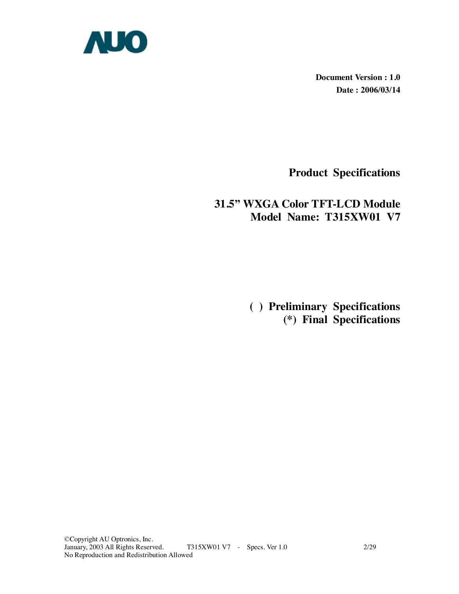

**Document Version : 1.0 Date : 2006/03/14** 

**Product Specifications** 

# **31.5" WXGA Color TFT-LCD Module Model Name: T315XW01 V7**

 **( ) Preliminary Specifications (\*) Final Specifications**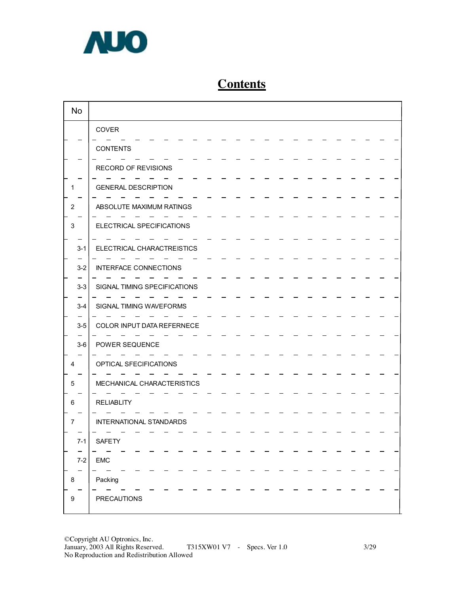

# **Contents**

| <b>No</b> |                              |
|-----------|------------------------------|
|           | COVER                        |
|           | <b>CONTENTS</b>              |
|           | RECORD OF REVISIONS          |
|           | <b>GENERAL DESCRIPTION</b>   |
| 2         | ABSOLUTE MAXIMUM RATINGS     |
| 3         | ELECTRICAL SPECIFICATIONS    |
| $3 - 1$   | ELECTRICAL CHARACTREISTICS   |
| $3 - 2$   | <b>INTERFACE CONNECTIONS</b> |
| $3-3$     | SIGNAL TIMING SPECIFICATIONS |
| $3 - 4$   | SIGNAL TIMING WAVEFORMS      |
| $3-5$     | COLOR INPUT DATA REFERNECE   |
| $3-6$     | POWER SEQUENCE               |
| 4         | OPTICAL SFECIFICATIONS       |
| 5         | MECHANICAL CHARACTERISTICS   |
| 6         | <b>RELIABLITY</b>            |
| $\prime$  | INTERNATIONAL STANDARDS      |
| $7 - 1$   | SAFETY                       |
| $7-2$     | <b>EMC</b>                   |
| 8         | Packing                      |
| 9         | <b>PRECAUTIONS</b>           |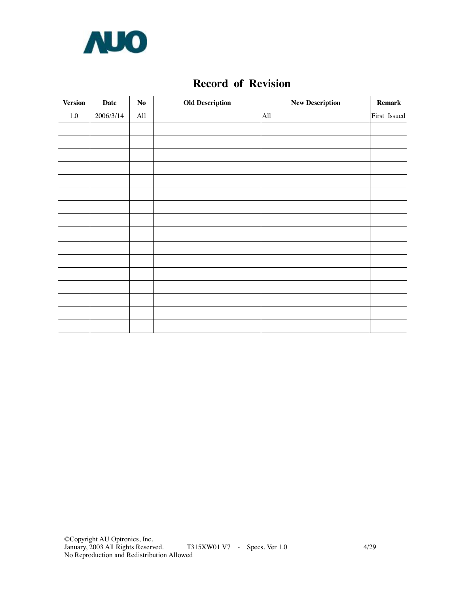

# **Record of Revision**

| <b>Version</b> | <b>Date</b> | $\mathbf{No}$ | <b>Old Description</b> | <b>New Description</b> | <b>Remark</b> |
|----------------|-------------|---------------|------------------------|------------------------|---------------|
| $1.0\,$        | 2006/3/14   | All           |                        | All                    | First Issued  |
|                |             |               |                        |                        |               |
|                |             |               |                        |                        |               |
|                |             |               |                        |                        |               |
|                |             |               |                        |                        |               |
|                |             |               |                        |                        |               |
|                |             |               |                        |                        |               |
|                |             |               |                        |                        |               |
|                |             |               |                        |                        |               |
|                |             |               |                        |                        |               |
|                |             |               |                        |                        |               |
|                |             |               |                        |                        |               |
|                |             |               |                        |                        |               |
|                |             |               |                        |                        |               |
|                |             |               |                        |                        |               |
|                |             |               |                        |                        |               |
|                |             |               |                        |                        |               |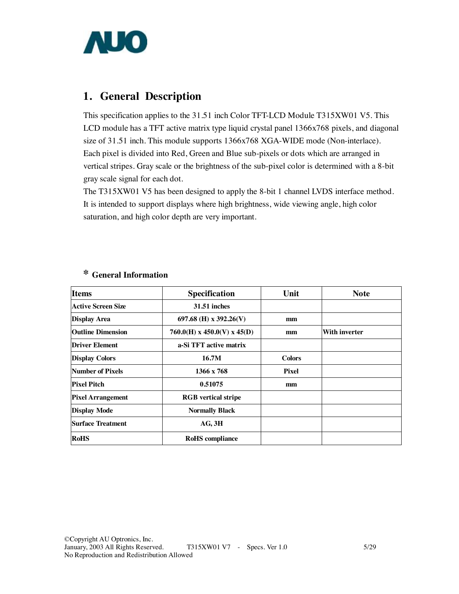

# **1. General Description**

This specification applies to the 31.51 inch Color TFT-LCD Module T315XW01 V5. This LCD module has a TFT active matrix type liquid crystal panel 1366x768 pixels, and diagonal size of 31.51 inch. This module supports 1366x768 XGA-WIDE mode (Non-interlace). Each pixel is divided into Red, Green and Blue sub-pixels or dots which are arranged in vertical stripes. Gray scale or the brightness of the sub-pixel color is determined with a 8-bit gray scale signal for each dot.

The T315XW01 V5 has been designed to apply the 8-bit 1 channel LVDS interface method. It is intended to support displays where high brightness, wide viewing angle, high color saturation, and high color depth are very important.

| <b>Items</b><br>Specification |                               | Unit          | <b>Note</b>   |
|-------------------------------|-------------------------------|---------------|---------------|
| Active Screen Size            | <b>31.51 inches</b>           |               |               |
| <b>Display Area</b>           | 697.68 (H) x 392.26(V)        | mm            |               |
| <b>Outline Dimension</b>      | $760.0(H)$ x 450.0(V) x 45(D) | mm            | With inverter |
| Driver Element                | a-Si TFT active matrix        |               |               |
| <b>Display Colors</b>         | 16.7M                         | <b>Colors</b> |               |
| Number of Pixels              | 1366 x 768                    | <b>Pixel</b>  |               |
| <b>Pixel Pitch</b>            | 0.51075                       | mm            |               |
| <b>Pixel Arrangement</b>      | <b>RGB</b> vertical stripe    |               |               |
| <b>Display Mode</b>           | <b>Normally Black</b>         |               |               |
| Surface Treatment             | $AG$ , $3H$                   |               |               |
| <b>RoHS</b>                   | <b>RoHS</b> compliance        |               |               |

## **\* General Information**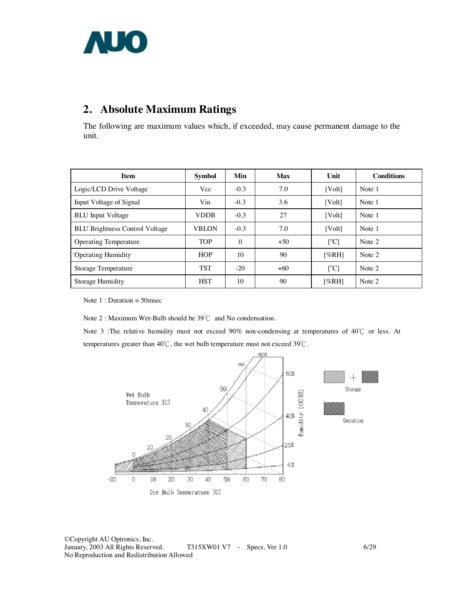

# **2. Absolute Maximum Ratings**

The following are maximum values which, if exceeded, may cause permanent damage to the unit.

| <b>Item</b>                           | <b>Symbol</b> | Min      | <b>Max</b> | Unit                      | <b>Conditions</b> |
|---------------------------------------|---------------|----------|------------|---------------------------|-------------------|
| Logic/LCD Drive Voltage               | Vcc           | $-0.3$   | 7.0        | [Volt]                    | Note 1            |
| Input Voltage of Signal               | Vin           | $-0.3$   | 3.6        | [Vol <sub>t</sub> ]       | Note 1            |
| <b>BLU</b> Input Voltage              | <b>VDDB</b>   | $-0.3$   | 27         | [Volt]                    | Note 1            |
| <b>BLU Brightness Control Voltage</b> | <b>VBLON</b>  | $-0.3$   | 7.0        | [Volt]                    | Note 1            |
| <b>Operating Temperature</b>          | <b>TOP</b>    | $\theta$ | $+50$      | $\lceil{^{\circ}C}\rceil$ | Note 2            |
| <b>Operating Humidity</b>             | <b>HOP</b>    | 10       | 90         | [%RH]                     | Note 2            |
| <b>Storage Temperature</b>            | <b>TST</b>    | $-20$    | $+60$      | $\lceil{^{\circ}C}\rceil$ | Note 2            |
| Storage Humidity                      | <b>HST</b>    | 10       | 90         | [%RH]                     | Note 2            |

Note 1 : Duration = 50msec

Note 2 : Maximum Wet-Bulb should be 39℃ and No condensation.

Note 3 :The relative humidity must not exceed 90% non-condensing at temperatures of 40℃ or less. At temperatures greater than 40℃, the wet bulb temperature must not exceed 39℃.

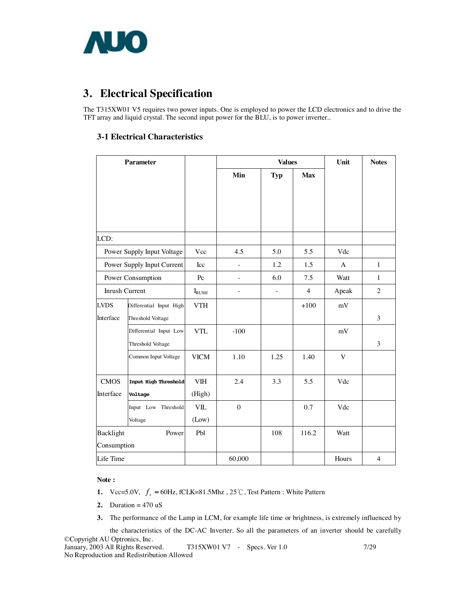

# **3. Electrical Specification**

The T315XW01 V5 requires two power inputs. One is employed to power the LCD electronics and to drive the TFT array and liquid crystal. The second input power for the BLU, is to power inverter..

### **3-1 Electrical Characteristics**

| <b>Parameter</b>   |                            |                |              | <b>Values</b> |                | Unit  | <b>Notes</b>   |
|--------------------|----------------------------|----------------|--------------|---------------|----------------|-------|----------------|
|                    |                            |                | Min          | <b>Typ</b>    | <b>Max</b>     |       |                |
|                    |                            |                |              |               |                |       |                |
|                    |                            |                |              |               |                |       |                |
|                    |                            |                |              |               |                |       |                |
|                    |                            |                |              |               |                |       |                |
| LCD:               |                            |                |              |               |                |       |                |
|                    | Power Supply Input Voltage | Vcc            | 4.5          | 5.0           | 5.5            | Vdc   |                |
|                    | Power Supply Input Current | Icc            |              | 1.2           | 1.5            | A     | $\mathbf{1}$   |
|                    | Power Consumption          | $P_{\rm C}$    |              | 6.0           | 7.5            | Watt  | 1              |
| Inrush Current     |                            | $I_{\rm RUSH}$ |              | $\frac{1}{2}$ | $\overline{4}$ | Apeak | $\overline{2}$ |
| <b>LVDS</b>        | Differential Input High    | <b>VTH</b>     |              |               | $+100$         | mV    |                |
| Interface          | Threshold Voltage          |                |              |               |                |       | 3              |
|                    | Differential Input Low     | <b>VTL</b>     | $-100$       |               |                | mV    |                |
|                    | Threshold Voltage          |                |              |               |                |       | 3              |
|                    | Common Input Voltage       | <b>VICM</b>    | 1.10         | 1.25          | 1.40           | V     |                |
|                    |                            |                |              |               |                |       |                |
| <b>CMOS</b>        | Input High Threshold       | <b>VIH</b>     | 2.4          | 3.3           | 5.5            | Vdc   |                |
| Interface          | Voltage                    | (High)         |              |               |                |       |                |
|                    | Input Low Threshold        | <b>VIL</b>     | $\mathbf{0}$ |               | 0.7            | Vdc   |                |
|                    | Voltage                    | (Low)          |              |               |                |       |                |
| Backlight<br>Power |                            | Pbl            |              | 108           | 116.2          | Watt  |                |
| Consumption        |                            |                |              |               |                |       |                |
| Life Time          |                            |                | 60,000       |               |                | Hours | $\overline{4}$ |

#### **Note :**

- **1.**  $Vcc=5.0V$ ,  $f_v = 60Hz$ , fCLK=81.5Mhz, 25°C, Test Pattern : White Pattern
- 2. Duration  $= 470$  uS
- **3.** The performance of the Lamp in LCM, for example life time or brightness, is extremely influenced by

the characteristics of the DC-AC Inverter. So all the parameters of an inverter should be carefully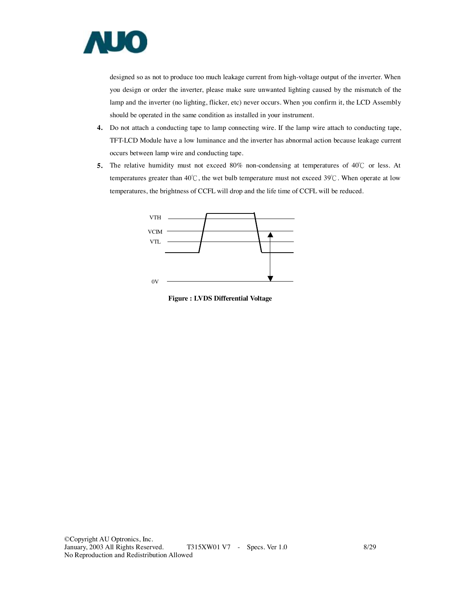

designed so as not to produce too much leakage current from high-voltage output of the inverter. When you design or order the inverter, please make sure unwanted lighting caused by the mismatch of the lamp and the inverter (no lighting, flicker, etc) never occurs. When you confirm it, the LCD Assembly should be operated in the same condition as installed in your instrument.

- **4.** Do not attach a conducting tape to lamp connecting wire. If the lamp wire attach to conducting tape, TFT-LCD Module have a low luminance and the inverter has abnormal action because leakage current occurs between lamp wire and conducting tape.
- **5.** The relative humidity must not exceed 80% non-condensing at temperatures of 40℃ or less. At temperatures greater than 40℃, the wet bulb temperature must not exceed 39℃. When operate at low temperatures, the brightness of CCFL will drop and the life time of CCFL will be reduced.



**Figure : LVDS Differential Voltage**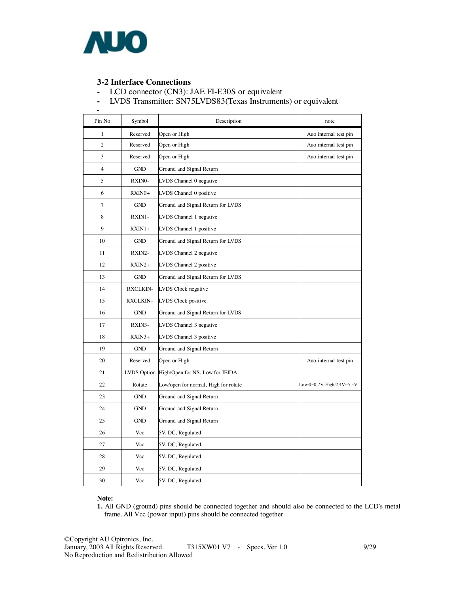

**-** 

### **3-2 Interface Connections**

- LCD connector (CN3): JAE FI-E30S or equivalent
- LVDS Transmitter: SN75LVDS83(Texas Instruments) or equivalent

| Pin No         | Symbol          | Description                          | note                       |
|----------------|-----------------|--------------------------------------|----------------------------|
| 1              | Reserved        | Open or High                         | Auo internal test pin      |
| $\mathbf{2}$   | Reserved        | Open or High                         | Auo internal test pin      |
| 3              | Reserved        | Open or High                         | Auo internal test pin      |
| $\overline{4}$ | <b>GND</b>      | Ground and Signal Return             |                            |
| 5              | RXINO-          | LVDS Channel 0 negative              |                            |
| 6              | RXIN0+          | LVDS Channel 0 positive              |                            |
| 7              | <b>GND</b>      | Ground and Signal Return for LVDS    |                            |
| 8              | RXIN1-          | LVDS Channel 1 negative              |                            |
| 9              | $RXIN1+$        | LVDS Channel 1 positive              |                            |
| 10             | <b>GND</b>      | Ground and Signal Return for LVDS    |                            |
| 11             | RXIN2-          | LVDS Channel 2 negative              |                            |
| 12             | $RXIN2+$        | LVDS Channel 2 positive              |                            |
| 13             | <b>GND</b>      | Ground and Signal Return for LVDS    |                            |
| 14             | <b>RXCLKIN-</b> | LVDS Clock negative                  |                            |
| 15             | RXCLKIN+        | LVDS Clock positive                  |                            |
| 16             | <b>GND</b>      | Ground and Signal Return for LVDS    |                            |
| 17             | RXIN3-          | LVDS Channel 3 negative              |                            |
| 18             | $RXIN3+$        | LVDS Channel 3 positive              |                            |
| 19             | <b>GND</b>      | Ground and Signal Return             |                            |
| 20             | Reserved        | Open or High                         | Auo internal test pin      |
| 21             | LVDS Option     | High/Open for NS, Low for JEIDA      |                            |
| 22             | Rotate          | Low/open for normal, High for rotate | Low:0~0.7V, High:2.4V~5.5V |
| 23             | <b>GND</b>      | Ground and Signal Return             |                            |
| 24             | <b>GND</b>      | Ground and Signal Return             |                            |
| 25             | <b>GND</b>      | Ground and Signal Return             |                            |
| 26             | Vcc             | 5V, DC, Regulated                    |                            |
| 27             | Vcc             | 5V, DC, Regulated                    |                            |
| 28             | Vcc             | 5V, DC, Regulated                    |                            |
| 29             | Vcc             | 5V, DC, Regulated                    |                            |
| 30             | Vcc             | 5V, DC, Regulated                    |                            |

#### **Note:**

**1.** All GND (ground) pins should be connected together and should also be connected to the LCD's metal frame. All Vcc (power input) pins should be connected together.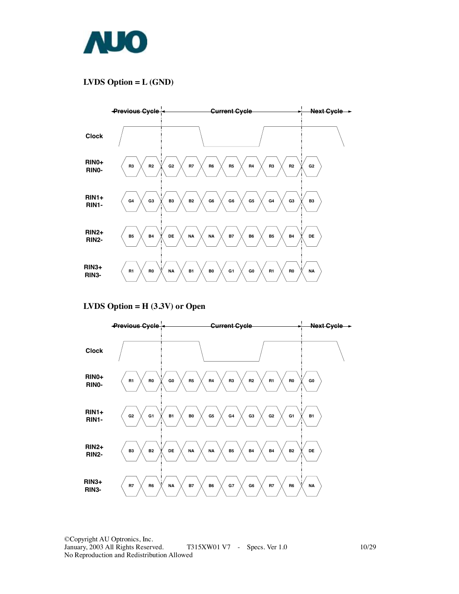

## **LVDS Option = L (GND)**



#### **LVDS Option = H (3.3V) or Open**

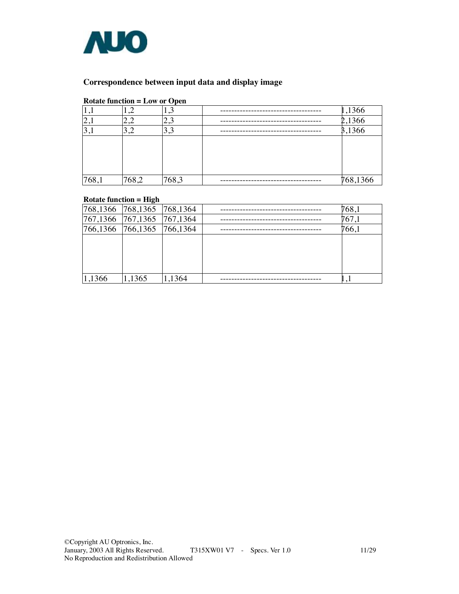

### **Correspondence between input data and display image**

#### **Rotate function = Low or Open**

| 1, 1     | σ<br>1, 2 | لىق   | 1,1366   |
|----------|-----------|-------|----------|
| $ 2,\!1$ | 2,2       | 2,3   | 2,1366   |
| 3,1      | 3,2       | 3,3   | 3,1366   |
|          |           |       |          |
|          |           |       |          |
|          |           |       |          |
|          |           |       |          |
| 768,1    | 768,2     | 768,3 | 768,1366 |

### **Rotate function = High**

|        | 768,1366 768,1365 768,1364 |        | 768,1 |
|--------|----------------------------|--------|-------|
|        | 767,1366 767,1365 767,1364 |        | 767,1 |
|        | 766,1366 766,1365 766,1364 |        | 766,1 |
|        |                            |        |       |
|        |                            |        |       |
|        |                            |        |       |
|        |                            |        |       |
| 1,1366 | 1,1365                     | 1,1364 |       |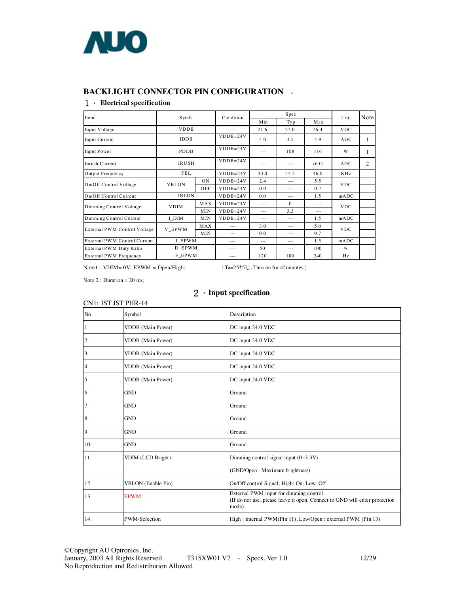

#### **BACKLIGHT CONNECTOR PIN CONFIGURATION -**

#### 1. **Electrical specification**

| Item                          | Symb.        |            | Condition  | Spec          |               |       | Unit            | Note           |
|-------------------------------|--------------|------------|------------|---------------|---------------|-------|-----------------|----------------|
|                               |              |            |            | Min           | Typ           | Max   |                 |                |
| Input Voltage                 | <b>VDDB</b>  |            |            | 21.6          | 24.0          | 26.4  | <b>VDC</b>      |                |
| Input Current                 | <b>IDDB</b>  |            | $VDDB=24V$ | 4.0           | 4.5           | 4.9   | <b>ADC</b>      | 1              |
| <b>Input Power</b>            | <b>PDDB</b>  |            | $VDDB=24V$ | $---$         | 108           | 116   | W               | 1              |
| Inrush Current                | <b>IRUSH</b> |            | $VDDB=24V$ | $---$         | $- - -$       | (6.0) | <b>ADC</b>      | $\overline{2}$ |
| Output Frequency              | <b>FBL</b>   |            | $VDDB=24V$ | 43.0          | 44.5          | 46.0  | KH <sub>z</sub> |                |
| On/Off Control Voltage        | <b>VBLON</b> | <b>ON</b>  | $VDDB=24V$ | 2.4           | $- - -$       | 5.5   | <b>VDC</b>      |                |
|                               |              | OFF        | $VDDB=24V$ | 0.0           | $---$         | 0.7   |                 |                |
| On/Off Control Current        | <b>IBLON</b> |            | $VDDB=24V$ | 0.0           | $- - -$       | 1.5   | mADC            |                |
| Dimming Control Voltage       | <b>VDIM</b>  | MAX        | $VDDB=24V$ | $\frac{1}{2}$ | $\Omega$      | $---$ | <b>VDC</b>      |                |
|                               |              | <b>MIN</b> | $VDDB=24V$ | $- - -$       | 3.3           | ---   |                 |                |
| Dimming Control Current       | I DIM        | <b>MIN</b> | $VDDB=24V$ | $- - -$       | $- - -$       | 1.5   | mADC            |                |
| External PWM Control Voltage  | V EPWM       | MAX        |            | 3.0           | $- - -$       | 5.0   | <b>VDC</b>      |                |
|                               |              | <b>MIN</b> | $---$      | 0.0           | $---$         | 0.7   |                 |                |
| External PWM Control Current  | I EPWM       |            | $- - -$    | $- - -$       | $- - -$       | 1.5   | mADC            |                |
| External PWM Duty Ratio       | D EPWM       |            | $---$      | 50            | $\frac{1}{2}$ | 100   | $\%$            |                |
| <b>External PWM Frequency</b> | F EPWM       |            | $- - -$    | 120           | 180           | 240   | Hz              |                |

Note1 : VDIM= 0V; EPWM = Open/High; (Ta=25±5℃, Turn on for 45minutes)

Note 2 : Duration = 20 ms;

### 2.**Input specification**

|                         | CN1: JST JST PHR-14       |                                                                                                                               |
|-------------------------|---------------------------|-------------------------------------------------------------------------------------------------------------------------------|
| N <sub>o</sub>          | Symbol                    | Description                                                                                                                   |
| $\vert$                 | VDDB (Main Power)         | DC input 24.0 VDC                                                                                                             |
| $\overline{c}$          | VDDB (Main Power)         | DC input 24.0 VDC                                                                                                             |
| $\overline{\mathbf{3}}$ | VDDB (Main Power)         | DC input 24.0 VDC                                                                                                             |
| $\overline{4}$          | VDDB (Main Power)         | DC input 24.0 VDC                                                                                                             |
| $\overline{5}$          | <b>VDDB</b> (Main Power)  | DC input 24.0 VDC                                                                                                             |
| 6                       | <b>GND</b>                | Ground                                                                                                                        |
| $\overline{7}$          | <b>GND</b>                | Ground                                                                                                                        |
| $\,$ 8 $\,$             | <b>GND</b>                | Ground                                                                                                                        |
| $\overline{9}$          | <b>GND</b>                | Ground                                                                                                                        |
| 10                      | <b>GND</b>                | Ground                                                                                                                        |
| <sup>11</sup>           | VDIM (LCD Bright)         | Dimming control signal input $(0~3.3V)$                                                                                       |
|                         |                           | (GND/Open: Maximum brightness)                                                                                                |
| 12                      | <b>VBLON</b> (Enable Pin) | On/Off control Signal; High: On; Low: Off                                                                                     |
| 13                      | <b>EPWM</b>               | External PWM input for dimming control<br>(If do not use, please leave it open. Connect to GND will enter protection<br>mode) |
| 14                      | <b>PWM-Selection</b>      | High : internal PWM(Pin 11), Low/Open : external PWM (Pin 13)                                                                 |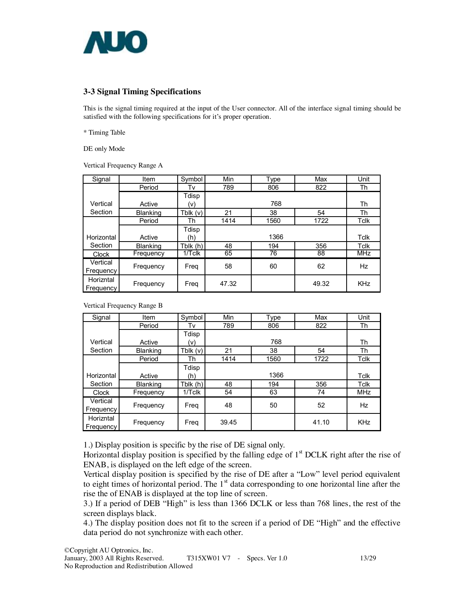

### **3-3 Signal Timing Specifications**

This is the signal timing required at the input of the User connector. All of the interface signal timing should be satisfied with the following specifications for it's proper operation.

\* Timing Table

DE only Mode

Vertical Frequency Range A

| Signal       | Item            | Symbol     | Min   | <b>Type</b> | Max   | Unit       |
|--------------|-----------------|------------|-------|-------------|-------|------------|
|              | Period          | Tv         | 789   | 806         | 822   | Th         |
|              |                 | Tdisp      |       |             |       |            |
| Vertical     | Active          | (V)        |       | 768         |       | Th         |
| Section      | Blanking        | Tblk $(v)$ | 21    | 38          | 54    | Th         |
|              | Period          | Th         | 1414  | 1560        | 1722  | Tclk       |
|              |                 | Tdisp      |       |             |       |            |
| Horizontal   | Active          | (h)        |       | 1366        |       | Tclk       |
| Section      | <b>Blanking</b> | Tblk (h)   | 48    | 194         | 356   | Tclk       |
| <b>Clock</b> | Frequency       | 1/Tclk     | 65    | 76          | 88    | <b>MHz</b> |
| Vertical     |                 |            | 58    | 60          | 62    | Hz         |
| Frequency    | Frequency       | Freg       |       |             |       |            |
| Horizntal    |                 |            |       |             |       |            |
| Frequency    | Frequency       | Freq       | 47.32 |             | 49.32 | <b>KHz</b> |

Vertical Frequency Range B

| Signal       | Item            | Symbol     | Min   | <b>Type</b> | Max   | Unit       |
|--------------|-----------------|------------|-------|-------------|-------|------------|
|              | Period          | Tv         | 789   | 806         | 822   | Th         |
|              |                 | Tdisp      |       |             |       |            |
| Vertical     | Active          | (v)        |       | 768         |       | Th         |
| Section      | <b>Blanking</b> | Tblk $(v)$ | 21    | 38          | 54    | Th         |
|              | Period          | Th         | 1414  | 1560        | 1722  | Tclk       |
|              |                 | Tdisp      |       |             |       |            |
| Horizontal   | Active          | (h)        |       | 1366        |       | Tclk       |
| Section      | <b>Blanking</b> | Tblk $(h)$ | 48    | 194         | 356   | Tclk       |
| <b>Clock</b> | Frequency       | $1/T$ clk  | 54    | 63          | 74    | <b>MHz</b> |
| Vertical     | Frequency       | Freq       | 48    | 50          | 52    | Hz         |
| Frequency    |                 |            |       |             |       |            |
| Horizntal    |                 |            | 39.45 |             | 41.10 | <b>KHz</b> |
| Frequency    | Frequency       | Freq       |       |             |       |            |

1.) Display position is specific by the rise of DE signal only.

Horizontal display position is specified by the falling edge of  $1<sup>st</sup> DCLK$  right after the rise of ENAB, is displayed on the left edge of the screen.

Vertical display position is specified by the rise of DE after a "Low" level period equivalent to eight times of horizontal period. The  $1<sup>st</sup>$  data corresponding to one horizontal line after the rise the of ENAB is displayed at the top line of screen.

3.) If a period of DEB "High" is less than 1366 DCLK or less than 768 lines, the rest of the screen displays black.

4.) The display position does not fit to the screen if a period of DE "High" and the effective data period do not synchronize with each other.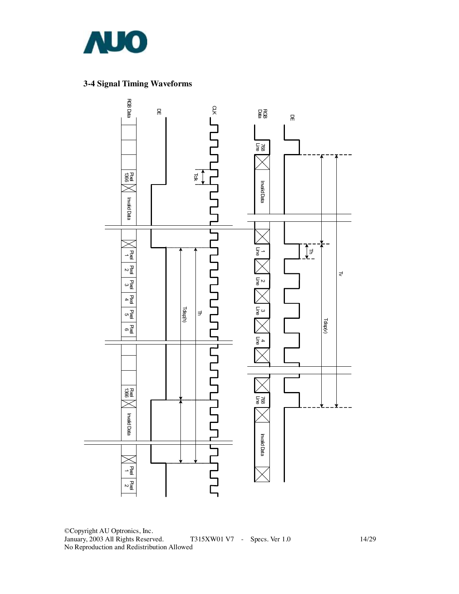

## **3-4 Signal Timing Waveforms**



©Copyright AU Optronics, Inc. January, 2003 All Rights Reserved. T315XW01 V7 - Specs. Ver 1.0 14/29 No Reproduction and Redistribution Allowed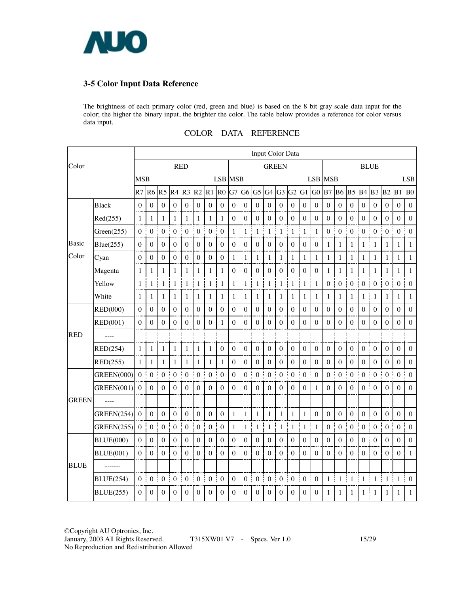

### **3-5 Color Input Data Reference**

The brightness of each primary color (red, green and blue) is based on the 8 bit gray scale data input for the color; the higher the binary input, the brighter the color. The table below provides a reference for color versus data input.

| Color        |                   | Input Color Data |                  |                  |                  |                       |                  |                       |                       |                  |                  |                  |                       |                   |                  |                   |                  |                       |                  |                       |                  |                  |                     |                       |                  |
|--------------|-------------------|------------------|------------------|------------------|------------------|-----------------------|------------------|-----------------------|-----------------------|------------------|------------------|------------------|-----------------------|-------------------|------------------|-------------------|------------------|-----------------------|------------------|-----------------------|------------------|------------------|---------------------|-----------------------|------------------|
|              |                   | <b>RED</b>       |                  |                  |                  | <b>GREEN</b>          |                  |                       |                       | <b>BLUE</b>      |                  |                  |                       |                   |                  |                   |                  |                       |                  |                       |                  |                  |                     |                       |                  |
|              |                   | <b>MSB</b>       |                  |                  |                  |                       |                  |                       | LSB MSB               |                  |                  |                  |                       |                   |                  |                   |                  | <b>LSB</b> MSB        |                  |                       |                  |                  |                     |                       | <b>LSB</b>       |
|              |                   | R7 R6            |                  |                  |                  | R5 R4 R3 R2           |                  | R1                    | R <sub>0</sub>        | G7               | G <sub>6</sub>   | G <sub>5</sub>   | $G4$ $G3$             |                   | G2               | $G1$ $G0$         |                  | <b>B7</b> B6          |                  | <b>B5</b> B4          |                  | B <sub>3</sub>   | $B2$ $B1$           |                       | B <sub>0</sub>   |
|              | <b>Black</b>      | $\theta$         | $\boldsymbol{0}$ | $\Omega$         | $\theta$         | $\boldsymbol{0}$      | $\theta$         | $\boldsymbol{0}$<br>j | $\boldsymbol{0}$      | $\boldsymbol{0}$ | $\theta$         | $\theta$         | $\bf{0}$              | $\boldsymbol{0}$  | $\theta$         | $\boldsymbol{0}$  | $\theta$         | $\boldsymbol{0}$      | $\theta$         | $\boldsymbol{0}$      | $\theta$         | $\theta$         | $\theta$            | $\theta$              | $\theta$         |
|              | Red(255)          | 1                | $\mathbf{1}$     | 1                | 1                | 1                     | $\mathbf{1}$     | $\mathbf{1}$          | $\mathbf{1}$          | $\boldsymbol{0}$ | $\boldsymbol{0}$ | $\boldsymbol{0}$ | $\boldsymbol{0}$      | $\theta$          | $\boldsymbol{0}$ | $\boldsymbol{0}$  | $\boldsymbol{0}$ | $\boldsymbol{0}$      | $\boldsymbol{0}$ | $\boldsymbol{0}$      | $\boldsymbol{0}$ | $\boldsymbol{0}$ | $\boldsymbol{0}$    | $\boldsymbol{0}$      | $\boldsymbol{0}$ |
|              | Green(255)        | $\Omega$         | $\boldsymbol{0}$ | $\theta$         | $\boldsymbol{0}$ | $\boldsymbol{0}$<br>š | $\boldsymbol{0}$ | $\boldsymbol{0}$      | Ť<br>$\mathbf{0}$     | j<br>1           | $\mathbf{1}$     | $\mathbf{1}$     | $\mathbf{1}$          | I<br>$\mathbf{1}$ | $\mathbf{1}$     | $\mathbf{1}$<br>j | $\mathbf{1}$     | ł<br>$\boldsymbol{0}$ | $\boldsymbol{0}$ | ł<br>$\boldsymbol{0}$ | $\mathbf{0}$     | $\theta$         | 0 <sup>1</sup>      | $\boldsymbol{0}$      | $\mathbf{0}$     |
| Basic        | Blue(255)         | $\Omega$         | $\boldsymbol{0}$ | $\boldsymbol{0}$ | $\theta$         | $\boldsymbol{0}$      | $\boldsymbol{0}$ | $\boldsymbol{0}$      | $\boldsymbol{0}$      | $\boldsymbol{0}$ | $\boldsymbol{0}$ | $\theta$         | $\boldsymbol{0}$      | $\boldsymbol{0}$  | $\boldsymbol{0}$ | $\boldsymbol{0}$  | $\boldsymbol{0}$ | 1                     | $\mathbf{1}$     | 1                     | $\mathbf{1}$     | 1                | $\mathbf{1}$        | 1                     | 1                |
| Color        | Cyan              | $\mathbf{0}$     | $\boldsymbol{0}$ | $\boldsymbol{0}$ | $\mathbf{0}$     | $\boldsymbol{0}$      | $\mathbf{0}$     | $\boldsymbol{0}$      | $\boldsymbol{0}$      | 1                | 1                | 1                | $\mathbf{1}$          | 1                 | 1                | 1                 | $\mathbf{1}$     | 1<br>j                | $\mathbf{1}$     | 1                     | $\mathbf{1}$     | 1                | $\mathbf{1}$        | 1                     | $\mathbf{1}$     |
|              | Magenta           | 1                | $\mathbf{1}$     | 1                | $\mathbf{1}$     | 1                     | $\mathbf{1}$     | $\mathbf{1}$          | $\mathbf{1}$          | $\boldsymbol{0}$ | $\boldsymbol{0}$ | $\theta$         | $\mathbf{0}$          | $\mathbf{0}$      | $\boldsymbol{0}$ | $\boldsymbol{0}$  | $\boldsymbol{0}$ | 1                     | $\mathbf{1}$     | 1                     | $\mathbf{1}$     | 1                | $\mathbf{1}$        | 1                     | $\mathbf{1}$     |
|              | Yellow            | $\mathbf{1}$     | $\mathbf{1}$     | $\mathbf{1}$     | 1                | $\mathbf{1}$<br>İ     | $\mathbf{1}$     | $\mathbf{1}$          | Ť<br>$\mathbf{1}$     | 1                | $\mathbf{1}$     | 1                | $\mathbf{1}$          | $\mathbf{1}$<br>Ī | $\mathbf{1}$     | $\mathbf{1}$<br>j | $\mathbf{1}$     | Ī<br>$\boldsymbol{0}$ | $\boldsymbol{0}$ | I<br>$\boldsymbol{0}$ | $\boldsymbol{0}$ | $\boldsymbol{0}$ | $\boldsymbol{0}$    | $\boldsymbol{0}$<br>Ť | $\boldsymbol{0}$ |
|              | White             | $\mathbf{1}$     | $\mathbf{1}$     | $\mathbf{1}$     | $\mathbf{1}$     | 1                     | $\mathbf{1}$     | $\mathbf{1}$          | $\mathbf{1}$          | $\mathbf{1}$     | $\mathbf{1}$     | 1                | 1                     | 1                 | $\mathbf{1}$     | $\mathbf{1}$      | $\mathbf{1}$     | $\mathbf{1}$          | $\mathbf{1}$     | 1                     | $\mathbf{1}$     | 1                | $\mathbf{1}$        | 1                     | $\mathbf{1}$     |
|              | <b>RED(000)</b>   | $\Omega$         | $\boldsymbol{0}$ | $\theta$         | $\boldsymbol{0}$ | $\boldsymbol{0}$      | $\mathbf{0}$     | $\theta$              | Ŧ<br>$\boldsymbol{0}$ | $\theta$         | $\mathbf{0}$     | $\theta$         | $\mathbf{0}$          | $\boldsymbol{0}$  | $\theta$         | $\boldsymbol{0}$  | $\mathbf{0}$     | $\boldsymbol{0}$      | $\boldsymbol{0}$ | $\Omega$              | $\boldsymbol{0}$ | $\theta$         | $\mathbf{0}$        | $\theta$              | $\mathbf{0}$     |
| <b>RED</b>   | RED(001)          | $\mathbf{0}$     | $\boldsymbol{0}$ | $\boldsymbol{0}$ | $\boldsymbol{0}$ | $\boldsymbol{0}$      | $\boldsymbol{0}$ | $\boldsymbol{0}$      | $\mathbf{1}$          | $\boldsymbol{0}$ | $\boldsymbol{0}$ | $\mathbf{0}$     | $\boldsymbol{0}$      | $\mathbf{0}$      | $\boldsymbol{0}$ | $\boldsymbol{0}$  | $\boldsymbol{0}$ | $\boldsymbol{0}$      | $\boldsymbol{0}$ | $\boldsymbol{0}$      | $\boldsymbol{0}$ | $\Omega$         | $\boldsymbol{0}$    | $\boldsymbol{0}$      | $\boldsymbol{0}$ |
|              | ----              |                  |                  |                  |                  |                       |                  |                       |                       |                  |                  |                  |                       |                   |                  |                   |                  |                       |                  |                       |                  |                  |                     |                       |                  |
|              | RED(254)          | $\mathbf{1}$     | $\mathbf{1}$     | $\mathbf{1}$     | $\mathbf{1}$     | 1                     | $\mathbf{1}$     | $\mathbf{1}$          | $\boldsymbol{0}$      | $\boldsymbol{0}$ | $\boldsymbol{0}$ | $\theta$         | $\boldsymbol{0}$      | $\boldsymbol{0}$  | $\boldsymbol{0}$ | $\boldsymbol{0}$  | $\boldsymbol{0}$ | $\boldsymbol{0}$      | $\mathbf{0}$     | $\boldsymbol{0}$      | $\boldsymbol{0}$ | $\boldsymbol{0}$ | $\mathbf{0}$        | $\boldsymbol{0}$      | $\boldsymbol{0}$ |
|              | RED(255)          | 1                | 1                | 1                | 1                | 1                     | $\mathbf{1}$     | 1                     | $\mathbf{1}$          | $\boldsymbol{0}$ | $\boldsymbol{0}$ | $\mathbf{0}$     | $\mathbf{0}$          | $\theta$          | $\mathbf{0}$     | $\boldsymbol{0}$  | $\boldsymbol{0}$ | $\theta$              | $\boldsymbol{0}$ | $\boldsymbol{0}$      | $\boldsymbol{0}$ | $\Omega$         | $\mathbf{0}$        | $\theta$              | $\boldsymbol{0}$ |
|              | <b>GREEN(000)</b> | $\mathbf{0}$     | $\boldsymbol{0}$ | $\boldsymbol{0}$ | $\boldsymbol{0}$ | Ī<br>$\boldsymbol{0}$ | $\boldsymbol{0}$ | I<br>$\boldsymbol{0}$ | $\boldsymbol{0}$      | $\boldsymbol{0}$ | $\boldsymbol{0}$ | $\boldsymbol{0}$ | $\boldsymbol{0}$<br>Ĭ | $\boldsymbol{0}$  | $\boldsymbol{0}$ | $\boldsymbol{0}$  | $\mathbf{0}$     | j<br>$\boldsymbol{0}$ | $\boldsymbol{0}$ | j<br>$\boldsymbol{0}$ | $\boldsymbol{0}$ | $\boldsymbol{0}$ | $\overline{0}$<br>j | $\boldsymbol{0}$      | $\boldsymbol{0}$ |
|              | GREEN(001)        | $\theta$         | $\Omega$         | $\theta$         | $\theta$         | $\theta$              | $\Omega$         | $\Omega$              | $\Omega$              | $\theta$         | $\Omega$         | $\Omega$         | $\theta$              | $\theta$          | $\Omega$         | $\theta$          | $\mathbf{1}$     | $\theta$              | $\theta$         | $\Omega$              | $\Omega$         | $\theta$         | $\Omega$            | $\theta$              | $\mathbf{0}$     |
| <b>GREEN</b> | ----              |                  |                  |                  |                  |                       |                  |                       |                       |                  |                  |                  |                       |                   |                  |                   |                  |                       |                  |                       |                  |                  |                     |                       |                  |
|              | <b>GREEN(254)</b> | $\theta$         | $\boldsymbol{0}$ | $\boldsymbol{0}$ | $\mathbf{0}$     | $\mathbf{0}$          | $\boldsymbol{0}$ | $\Omega$              | $\boldsymbol{0}$      | 1                | $\mathbf{1}$     | 1                | 1                     | 1                 | $\mathbf{1}$     | 1                 | $\boldsymbol{0}$ | $\theta$              | $\boldsymbol{0}$ | $\theta$              | $\boldsymbol{0}$ | $\theta$         | $\mathbf{0}$        | $\theta$              | $\boldsymbol{0}$ |
|              | <b>GREEN(255)</b> | $\mathbf{0}$     | $\boldsymbol{0}$ | $\boldsymbol{0}$ | $\boldsymbol{0}$ | $\boldsymbol{0}$      | $\boldsymbol{0}$ | $\mathbf{0}$          | j<br>$\boldsymbol{0}$ | 1                | 1                | 1                | $\mathbf{1}$          | Ť.<br>1           | 1                | 1                 | $\mathbf{1}$     | ĵ<br>$\mathbf{0}$     | $\boldsymbol{0}$ | $\boldsymbol{0}$<br>Į | $\boldsymbol{0}$ | $\boldsymbol{0}$ | $\mathbf{0}$        | $\boldsymbol{0}$<br>÷ | $\mathbf{0}$     |
|              | <b>BLUE(000)</b>  | $\boldsymbol{0}$ | $\boldsymbol{0}$ | $\mathbf{0}$     | $\boldsymbol{0}$ | $\mathbf{0}$          | $\boldsymbol{0}$ | $\mathbf{0}$          | $\boldsymbol{0}$      | $\boldsymbol{0}$ | $\boldsymbol{0}$ | $\boldsymbol{0}$ | $\boldsymbol{0}$      | $\mathbf{0}$      | $\mathbf{0}$     | $\mathbf{0}$      | $\boldsymbol{0}$ | $\boldsymbol{0}$      | $\boldsymbol{0}$ | $\boldsymbol{0}$      | $\boldsymbol{0}$ | $\boldsymbol{0}$ | $\boldsymbol{0}$    | $\Omega$              | $\boldsymbol{0}$ |
|              | <b>BLUE(001)</b>  | $\Omega$         | $\boldsymbol{0}$ | $\boldsymbol{0}$ | $\boldsymbol{0}$ | $\mathbf{0}$          | $\overline{0}$   | $\boldsymbol{0}$      | $\boldsymbol{0}$      | $\boldsymbol{0}$ | $\boldsymbol{0}$ | $\mathbf{0}$     | $\boldsymbol{0}$      | $\theta$          | $\boldsymbol{0}$ | $\boldsymbol{0}$  | $\boldsymbol{0}$ | $\boldsymbol{0}$      | $\boldsymbol{0}$ | $\mathbf{0}$          | $\boldsymbol{0}$ | $\boldsymbol{0}$ | $\boldsymbol{0}$    | $\boldsymbol{0}$      | $\mathbf{1}$     |
| <b>BLUE</b>  | -------           |                  |                  |                  |                  |                       |                  |                       |                       |                  |                  |                  |                       |                   |                  |                   |                  |                       |                  |                       |                  |                  |                     |                       |                  |
|              | <b>BLUE(254)</b>  | $\mathbf{0}$     | $\boldsymbol{0}$ | $\boldsymbol{0}$ | $\boldsymbol{0}$ | ł<br>$\boldsymbol{0}$ | $\boldsymbol{0}$ | 0 <sup>1</sup>        | $\boldsymbol{0}$      | $\boldsymbol{0}$ | $\boldsymbol{0}$ | $\boldsymbol{0}$ | ŧ<br>$\boldsymbol{0}$ | $\boldsymbol{0}$  | $\boldsymbol{0}$ | $\boldsymbol{0}$  | $\boldsymbol{0}$ | Ť<br>$\mathbf{1}$     | $\mathbf{1}$     | ł<br>$\mathbf{1}$     | $\mathbf{1}$     | 1                | 1 <sup>1</sup>      | $\mathbf{1}$          | $\boldsymbol{0}$ |
|              | <b>BLUE(255)</b>  | $\Omega$         | $\theta$         | $\Omega$         | $\theta$         | $\Omega$              | $\theta$         | $\theta$              | $\Omega$              | $\Omega$         | $\Omega$         | $\theta$         | $\theta$              | $\theta$          | $\Omega$         | $\Omega$          | $\Omega$         | 1                     | $\mathbf{1}$     | $\mathbf{1}$          | 1                | 1                | $\mathbf{1}$        | 1                     | $\mathbf{1}$     |

### COLOR DATA REFERENCE

©Copyright AU Optronics, Inc. T315XW01 V7 - Specs. Ver 1.0 15/29 No Reproduction and Redistribution Allowed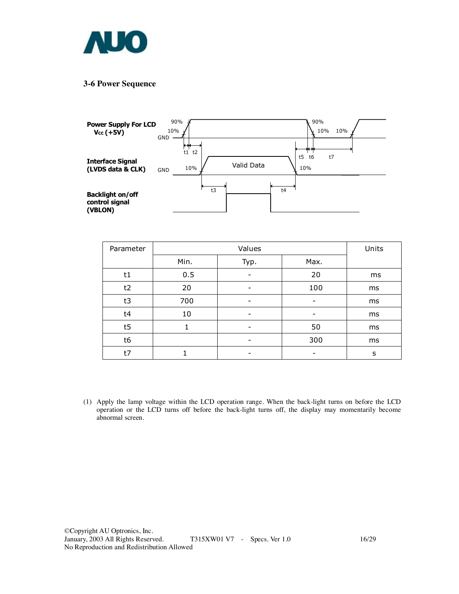

#### **3-6 Power Sequence**



| Parameter |      | Units |      |    |
|-----------|------|-------|------|----|
|           | Min. | Typ.  | Max. |    |
| t1        | 0.5  |       | 20   | ms |
| t2        | 20   | -     | 100  | ms |
| t3        | 700  |       |      | ms |
| t4        | 10   |       |      | ms |
| t5        |      |       | 50   | ms |
| t6        |      |       | 300  | ms |
| t7        |      |       |      | s  |

(1) Apply the lamp voltage within the LCD operation range. When the back-light turns on before the LCD operation or the LCD turns off before the back-light turns off, the display may momentarily become abnormal screen.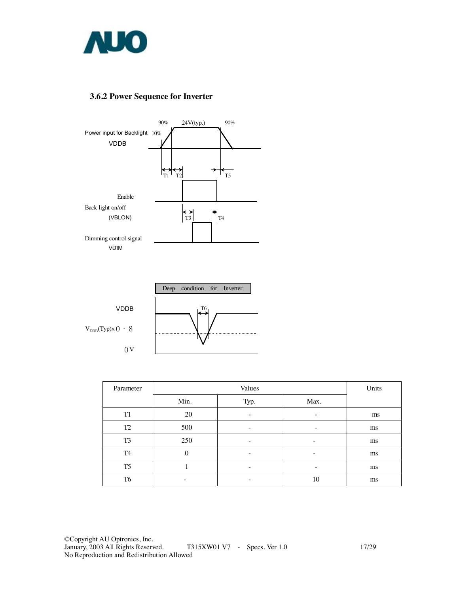

## **3.6.2 Power Sequence for Inverter**





| Parameter      |                          | Units |                          |    |
|----------------|--------------------------|-------|--------------------------|----|
|                | Min.                     | Typ.  | Max.                     |    |
| T <sub>1</sub> | 20                       | -     | $\overline{\phantom{a}}$ | ms |
| T <sub>2</sub> | 500                      | -     | $\overline{\phantom{a}}$ | ms |
| T <sub>3</sub> | 250                      | -     | -                        | ms |
| T <sub>4</sub> | $\theta$                 |       | -                        | ms |
| T <sub>5</sub> |                          |       | ۰                        | ms |
| T <sub>6</sub> | $\overline{\phantom{0}}$ | -     | 10                       | ms |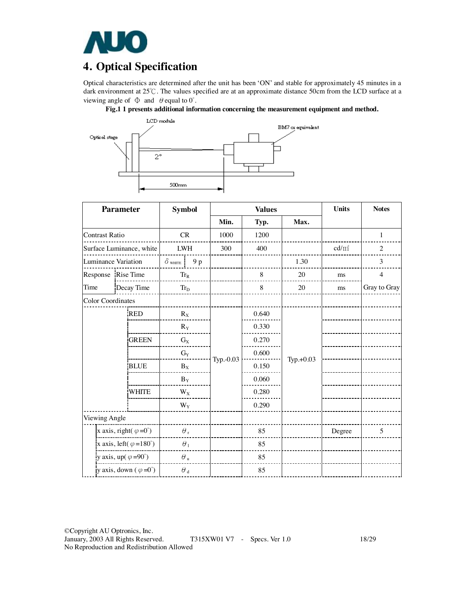

# **4. Optical Specification**

Optical characteristics are determined after the unit has been 'ON' and stable for approximately 45 minutes in a dark environment at 25℃. The values specified are at an approximate distance 50cm from the LCD surface at a viewing angle of  $\Phi$  and  $\theta$  equal to  $0^{\circ}$ .





|                                        | <b>Parameter</b>         | <b>Symbol</b>             |            |           | <b>Values</b> | <b>Units</b> | <b>Notes</b> |                |
|----------------------------------------|--------------------------|---------------------------|------------|-----------|---------------|--------------|--------------|----------------|
|                                        |                          |                           |            | Min.      | Typ.          | Max.         |              |                |
| <b>Contrast Ratio</b>                  |                          | CR                        |            | 1000      | 1200          |              |              | $\mathbf{1}$   |
|                                        | Surface Luminance, white | <b>LWH</b>                |            | 300       | 400           |              | $cd/m^2$     | $\overline{2}$ |
| <b>Luminance Variation</b>             |                          | $\delta$ white            | 9 p        |           |               | 1.30         |              | 3              |
|                                        | Response Rise Time       | $Tr_R$                    |            |           | 8             | 20           | ms           | $\overline{4}$ |
| Time                                   | Decay Time               | $Tr_D$                    |            |           | 8             | 20           | ms           | Gray to Gray   |
| <b>Color Coordinates</b>               |                          |                           |            |           |               |              |              |                |
|                                        | <b>RED</b>               | $R_X$                     |            |           | 0.640         |              |              |                |
|                                        |                          | $R_Y$                     |            |           | 0.330         |              |              |                |
|                                        | <b>GREEN</b>             | $\mathrm{G}_{\mathrm{X}}$ |            |           | 0.270         |              |              |                |
|                                        |                          | $\mathrm{G}_{\mathrm{Y}}$ |            |           | 0.600         |              |              |                |
| <b>BLUE</b>                            |                          | $B_X$                     |            | Typ.-0.03 | 0.150         | Typ.+0.03    |              |                |
|                                        |                          | $B_Y$                     |            |           | 0.060         |              |              |                |
| <b>WHITE</b>                           |                          | $W_X$                     |            |           | 0.280         |              |              |                |
|                                        |                          | $W_Y$                     |            |           | 0.290         |              |              |                |
| Viewing Angle                          |                          |                           |            |           |               |              |              |                |
| x axis, right( $\varphi = 0^{\circ}$ ) |                          |                           | $\theta$ , |           | 85            |              | Degree       | 5              |
| x axis, left( $\varphi = 180^\circ$ )  |                          | $\theta_1$                |            |           | 85            |              |              |                |
| y axis, up( $\varphi = 90^\circ$ )     |                          | $\theta$ u                |            |           | 85            |              |              |                |
| y axis, down $(\varphi = 0^{\circ})$   |                          | $\theta$ <sub>d</sub>     |            |           | 85            |              |              |                |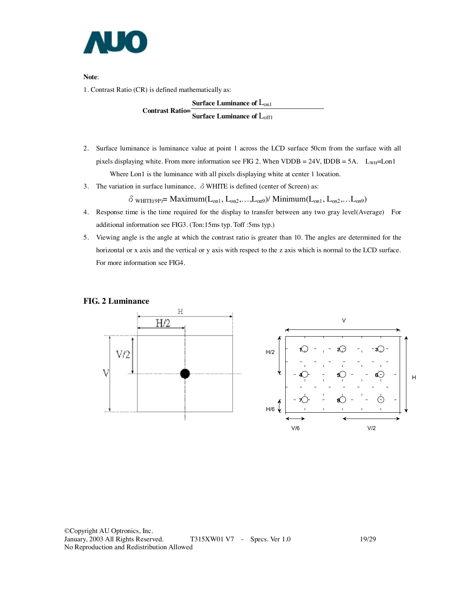

**Note**:

1. Contrast Ratio (CR) is defined mathematically as:

**Surface Luminance of** Lon1 **Contrast Ratio= Surface Luminance of** Loff1

- 2. Surface luminance is luminance value at point 1 across the LCD surface 50cm from the surface with all pixels displaying white. From more information see FIG 2. When VDDB =  $24V$ , IDDB =  $5A$ .  $L_{WH}$ =Lon1 Where Lon1 is the luminance with all pixels displaying white at center 1 location.
- 3. The variation in surface luminance,  $\delta$  WHITE is defined (center of Screen) as:

 $\delta$  white (9P) = Maximum( $L_{on1}$ ,  $L_{on2}$ ,...,  $L_{on9}$ ) / Minimum( $L_{on1}$ ,  $L_{on2}$ ,...,  $L_{on9}$ )

- 4. Response time is the time required for the display to transfer between any two gray level(Average) For additional information see FIG3. (Ton:15ms typ. Toff :5ms typ.)
- 5. Viewing angle is the angle at which the contrast ratio is greater than 10. The angles are determined for the horizontal or x axis and the vertical or y axis with respect to the z axis which is normal to the LCD surface. For more information see FIG4.

#### **FIG. 2 Luminance**

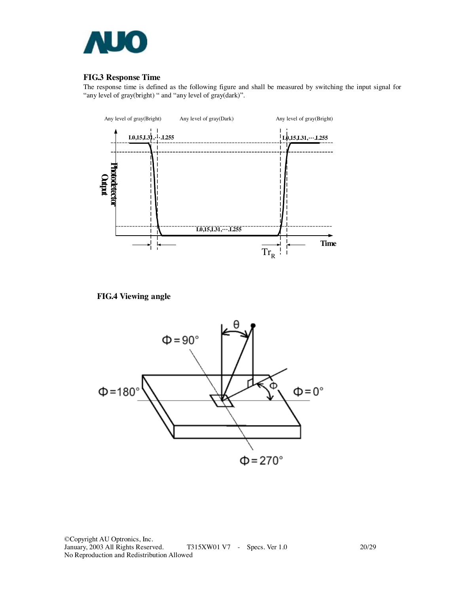

### **FIG.3 Response Time**

The response time is defined as the following figure and shall be measured by switching the input signal for "any level of gray(bright) " and "any level of gray(dark)".



**FIG.4 Viewing angle** 



©Copyright AU Optronics, Inc. T315XW01 V7 - Specs. Ver 1.0 20/29 No Reproduction and Redistribution Allowed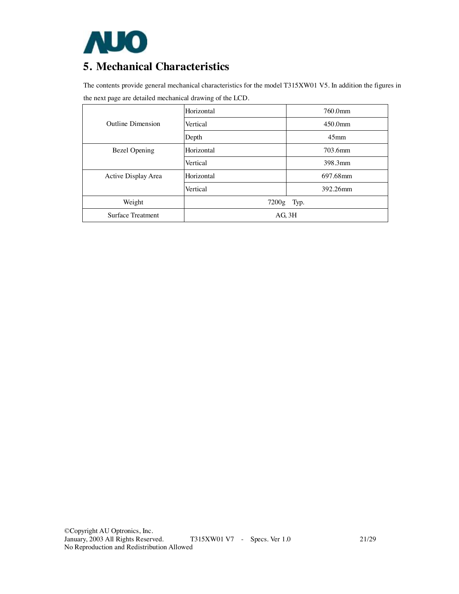

# **5. Mechanical Characteristics**

The contents provide general mechanical characteristics for the model T315XW01 V5. In addition the figures in the next page are detailed mechanical drawing of the LCD.

|                          | Horizontal  | 760.0mm          |  |  |  |
|--------------------------|-------------|------------------|--|--|--|
| <b>Outline Dimension</b> | Vertical    | $450.0$ mm       |  |  |  |
|                          | Depth       | 45 <sub>mm</sub> |  |  |  |
| <b>Bezel Opening</b>     | Horizontal  | 703.6mm          |  |  |  |
|                          | Vertical    | 398.3mm          |  |  |  |
| Active Display Area      | Horizontal  | 697.68mm         |  |  |  |
|                          | Vertical    | 392.26mm         |  |  |  |
| Weight                   | 7200g Typ.  |                  |  |  |  |
| <b>Surface Treatment</b> | $AG$ , $3H$ |                  |  |  |  |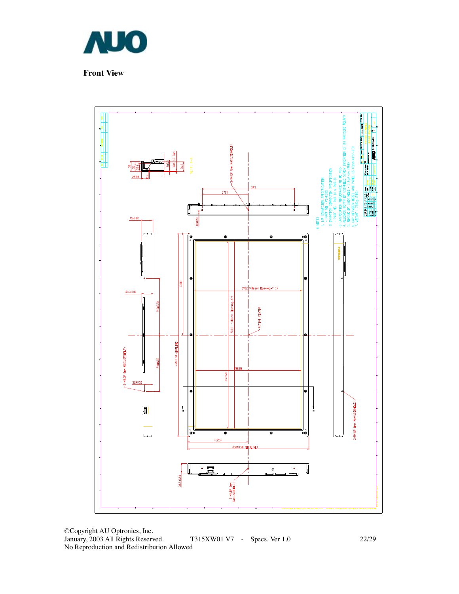

**Front View** 



©Copyright AU Optronics, Inc. January, 2003 All Rights Reserved. T315XW01 V7 - Specs. Ver 1.0 22/29 No Reproduction and Redistribution Allowed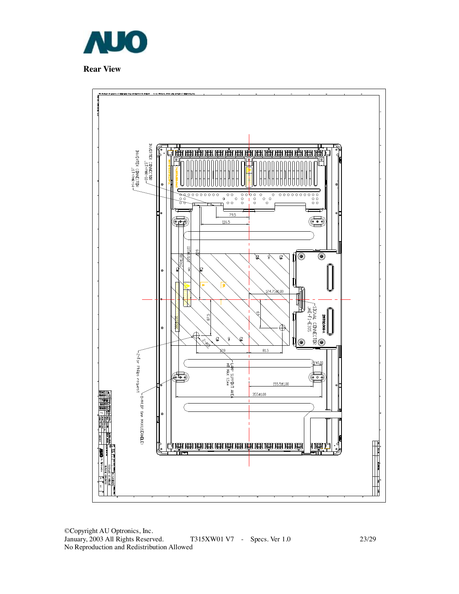

**Rear View** 



©Copyright AU Optronics, Inc. T315XW01 V7 - Specs. Ver 1.0 23/29 No Reproduction and Redistribution Allowed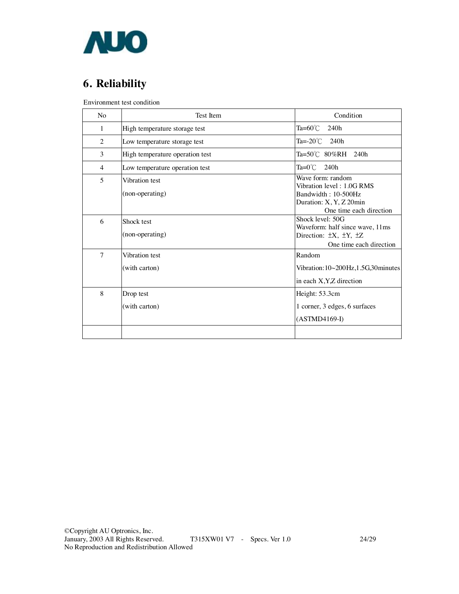![](_page_22_Picture_0.jpeg)

# **6. Reliability**

Environment test condition

| N <sub>0</sub>           | Test Item                         | Condition                                                                                                                   |
|--------------------------|-----------------------------------|-----------------------------------------------------------------------------------------------------------------------------|
| 1                        | High temperature storage test     | Ta= $60^{\circ}$ C<br>240h                                                                                                  |
| $\overline{2}$           | Low temperature storage test      | Ta=-20 $\degree$ C<br>240h                                                                                                  |
| 3                        | High temperature operation test   | Ta=50℃ 80%RH 240h                                                                                                           |
| $\overline{4}$           | Low temperature operation test    | $Ta=0^{\circ}$ C<br>240h                                                                                                    |
| $\overline{\phantom{0}}$ | Vibration test<br>(non-operating) | Wave form: random<br>Vibration level: 1.0G RMS<br>Bandwidth: 10-500Hz<br>Duration: X, Y, Z 20min<br>One time each direction |
| 6                        | Shock test<br>(non-operating)     | Shock level: 50G<br>Waveform: half since wave, 11ms<br>Direction: $\pm X$ , $\pm Y$ , $\pm Z$<br>One time each direction    |
| $\overline{7}$           | Vibration test<br>(with carton)   | Random<br>Vibration: 10~200Hz, 1.5G, 30 minutes<br>in each X, Y, Z direction                                                |
| 8                        | Drop test<br>(with carton)        | Height: 53.3cm<br>1 corner, 3 edges, 6 surfaces<br>$(ASTMD4169-I)$                                                          |
|                          |                                   |                                                                                                                             |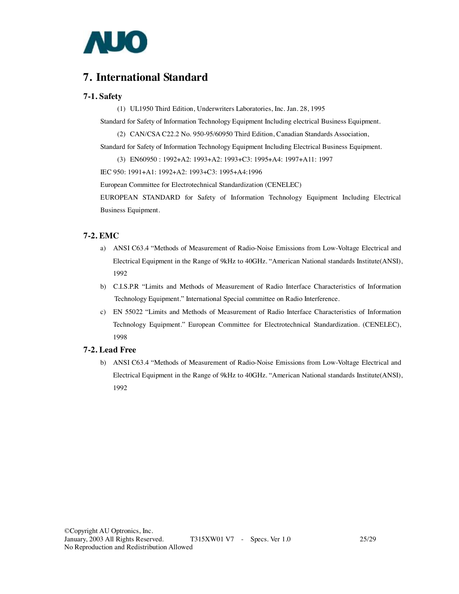![](_page_23_Picture_0.jpeg)

# **7. International Standard**

#### **7-1. Safety**

(1) UL1950 Third Edition, Underwriters Laboratories, Inc. Jan. 28, 1995

Standard for Safety of Information Technology Equipment Including electrical Business Equipment.

(2) CAN/CSA C22.2 No. 950-95/60950 Third Edition, Canadian Standards Association,

Standard for Safety of Information Technology Equipment Including Electrical Business Equipment.

(3) EN60950 : 1992+A2: 1993+A2: 1993+C3: 1995+A4: 1997+A11: 1997

IEC 950: 1991+A1: 1992+A2: 1993+C3: 1995+A4:1996

European Committee for Electrotechnical Standardization (CENELEC)

EUROPEAN STANDARD for Safety of Information Technology Equipment Including Electrical Business Equipment.

#### **7-2. EMC**

- a) ANSI C63.4 "Methods of Measurement of Radio-Noise Emissions from Low-Voltage Electrical and Electrical Equipment in the Range of 9kHz to 40GHz. "American National standards Institute(ANSI), 1992
- b) C.I.S.P.R "Limits and Methods of Measurement of Radio Interface Characteristics of Information Technology Equipment." International Special committee on Radio Interference.
- c) EN 55022 "Limits and Methods of Measurement of Radio Interface Characteristics of Information Technology Equipment." European Committee for Electrotechnical Standardization. (CENELEC), 1998

#### **7-2. Lead Free**

b) ANSI C63.4 "Methods of Measurement of Radio-Noise Emissions from Low-Voltage Electrical and Electrical Equipment in the Range of 9kHz to 40GHz. "American National standards Institute(ANSI), 1992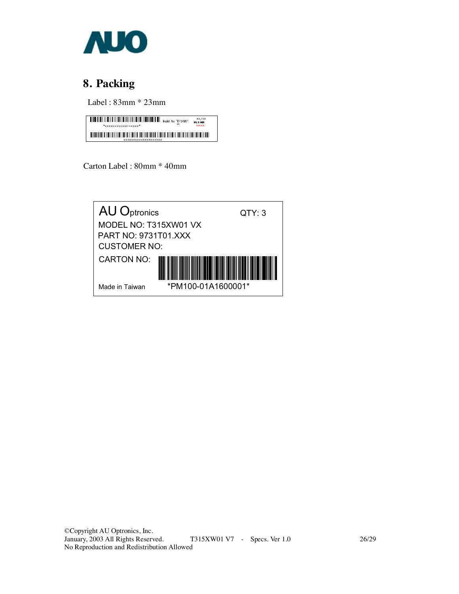![](_page_24_Picture_0.jpeg)

# **8. Packing**

Label : 83mm \* 23mm

![](_page_24_Picture_3.jpeg)

Carton Label : 80mm \* 40mm

![](_page_24_Picture_5.jpeg)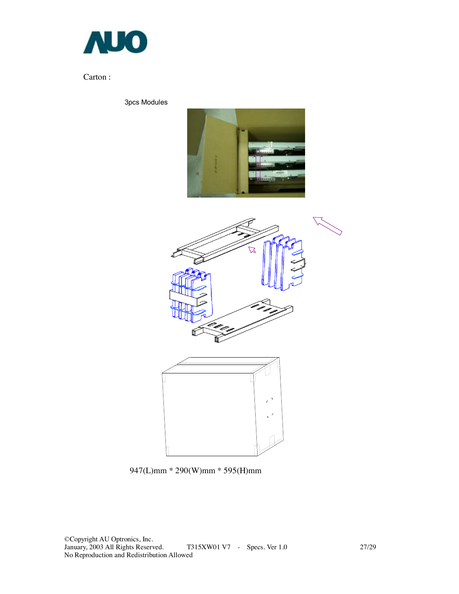![](_page_25_Picture_0.jpeg)

### Carton :

3pcs Modules

![](_page_25_Picture_3.jpeg)

![](_page_25_Figure_4.jpeg)

![](_page_25_Picture_5.jpeg)

947(L)mm \* 290(W)mm \* 595(H)mm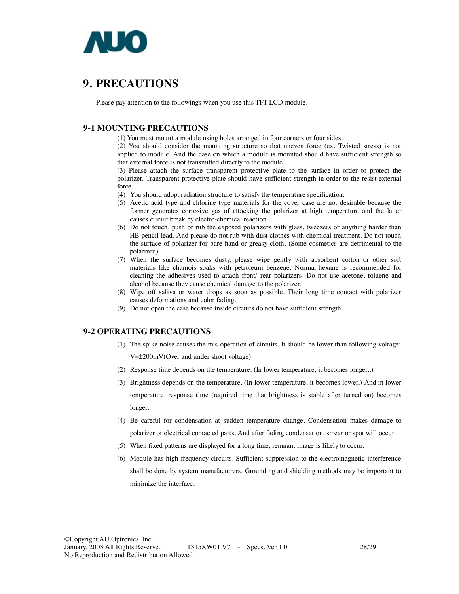![](_page_26_Picture_0.jpeg)

# **9. PRECAUTIONS**

Please pay attention to the followings when you use this TFT LCD module.

#### **9-1 MOUNTING PRECAUTIONS**

(1) You must mount a module using holes arranged in four corners or four sides.

(2) You should consider the mounting structure so that uneven force (ex. Twisted stress) is not applied to module. And the case on which a module is mounted should have sufficient strength so that external force is not transmitted directly to the module.

(3) Please attach the surface transparent protective plate to the surface in order to protect the polarizer. Transparent protective plate should have sufficient strength in order to the resist external force.

(4) You should adopt radiation structure to satisfy the temperature specification.

- (5) Acetic acid type and chlorine type materials for the cover case are not desirable because the former generates corrosive gas of attacking the polarizer at high temperature and the latter causes circuit break by electro-chemical reaction.
- (6) Do not touch, push or rub the exposed polarizers with glass, tweezers or anything harder than HB pencil lead. And please do not rub with dust clothes with chemical treatment. Do not touch the surface of polarizer for bare hand or greasy cloth. (Some cosmetics are detrimental to the polarizer.)
- (7) When the surface becomes dusty, please wipe gently with absorbent cotton or other soft materials like chamois soaks with petroleum benzene. Normal-hexane is recommended for cleaning the adhesives used to attach front/ rear polarizers. Do not use acetone, toluene and alcohol because they cause chemical damage to the polarizer.
- (8) Wipe off saliva or water drops as soon as possible. Their long time contact with polarizer causes deformations and color fading.
- (9) Do not open the case because inside circuits do not have sufficient strength.

#### **9-2 OPERATING PRECAUTIONS**

(1) The spike noise causes the mis-operation of circuits. It should be lower than following voltage:

V=±200mV(Over and under shoot voltage)

- (2) Response time depends on the temperature. (In lower temperature, it becomes longer..)
- (3) Brightness depends on the temperature. (In lower temperature, it becomes lower.) And in lower temperature, response time (required time that brightness is stable after turned on) becomes longer.
- (4) Be careful for condensation at sudden temperature change. Condensation makes damage to polarizer or electrical contacted parts. And after fading condensation, smear or spot will occur.
- (5) When fixed patterns are displayed for a long time, remnant image is likely to occur.
- (6) Module has high frequency circuits. Sufficient suppression to the electromagnetic interference shall be done by system manufacturers. Grounding and shielding methods may be important to minimize the interface.